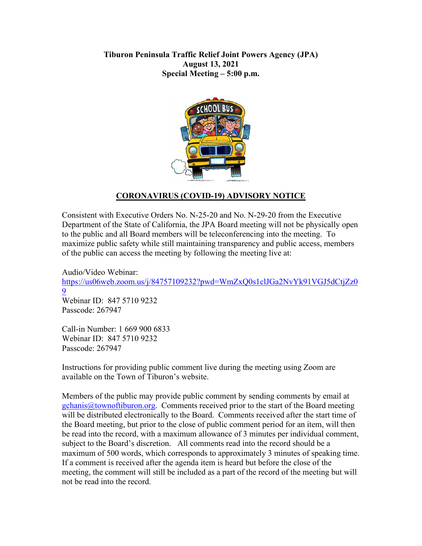## **Tiburon Peninsula Traffic Relief Joint Powers Agency (JPA) August 13, 2021 Special Meeting – 5:00 p.m.**



# **CORONAVIRUS (COVID-19) ADVISORY NOTICE**

Consistent with Executive Orders No. N-25-20 and No. N-29-20 from the Executive Department of the State of California, the JPA Board meeting will not be physically open to the public and all Board members will be teleconferencing into the meeting. To maximize public safety while still maintaining transparency and public access, members of the public can access the meeting by following the meeting live at:

Audio/Video Webinar: [https://us06web.zoom.us/j/84757109232?pwd=WmZxQ0s1clJGa2NvYk91VGJ5dCtjZz0](https://us06web.zoom.us/j/84757109232?pwd=WmZxQ0s1clJGa2NvYk91VGJ5dCtjZz09) [9](https://us06web.zoom.us/j/84757109232?pwd=WmZxQ0s1clJGa2NvYk91VGJ5dCtjZz09) Webinar ID: 847 5710 9232 Passcode: 267947

Call-in Number: 1 669 900 6833 Webinar ID: 847 5710 9232 Passcode: 267947

Instructions for providing public comment live during the meeting using Zoom are available on the Town of Tiburon's website.

Members of the public may provide public comment by sending comments by email at  $gchanis@town oftiburon.org.$  Comments received prior to the start of the Board meeting will be distributed electronically to the Board. Comments received after the start time of the Board meeting, but prior to the close of public comment period for an item, will then be read into the record, with a maximum allowance of 3 minutes per individual comment, subject to the Board's discretion. All comments read into the record should be a maximum of 500 words, which corresponds to approximately 3 minutes of speaking time. If a comment is received after the agenda item is heard but before the close of the meeting, the comment will still be included as a part of the record of the meeting but will not be read into the record.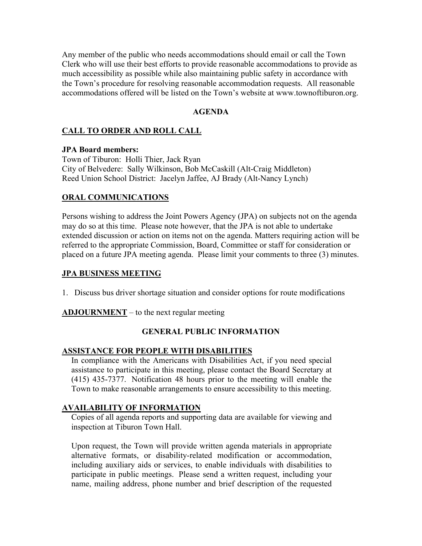Any member of the public who needs accommodations should email or call the Town Clerk who will use their best efforts to provide reasonable accommodations to provide as much accessibility as possible while also maintaining public safety in accordance with the Town's procedure for resolving reasonable accommodation requests. All reasonable accommodations offered will be listed on the Town's website at www.townoftiburon.org.

#### **AGENDA**

### **CALL TO ORDER AND ROLL CALL**

#### **JPA Board members:**

Town of Tiburon: Holli Thier, Jack Ryan City of Belvedere: Sally Wilkinson, Bob McCaskill (Alt-Craig Middleton) Reed Union School District: Jacelyn Jaffee, AJ Brady (Alt-Nancy Lynch)

### **ORAL COMMUNICATIONS**

Persons wishing to address the Joint Powers Agency (JPA) on subjects not on the agenda may do so at this time. Please note however, that the JPA is not able to undertake extended discussion or action on items not on the agenda. Matters requiring action will be referred to the appropriate Commission, Board, Committee or staff for consideration or placed on a future JPA meeting agenda. Please limit your comments to three (3) minutes.

#### **JPA BUSINESS MEETING**

1. Discuss bus driver shortage situation and consider options for route modifications

**ADJOURNMENT** – to the next regular meeting

### **GENERAL PUBLIC INFORMATION**

### **ASSISTANCE FOR PEOPLE WITH DISABILITIES**

In compliance with the Americans with Disabilities Act, if you need special assistance to participate in this meeting, please contact the Board Secretary at (415) 435-7377. Notification 48 hours prior to the meeting will enable the Town to make reasonable arrangements to ensure accessibility to this meeting.

### **AVAILABILITY OF INFORMATION**

Copies of all agenda reports and supporting data are available for viewing and inspection at Tiburon Town Hall.

Upon request, the Town will provide written agenda materials in appropriate alternative formats, or disability-related modification or accommodation, including auxiliary aids or services, to enable individuals with disabilities to participate in public meetings. Please send a written request, including your name, mailing address, phone number and brief description of the requested